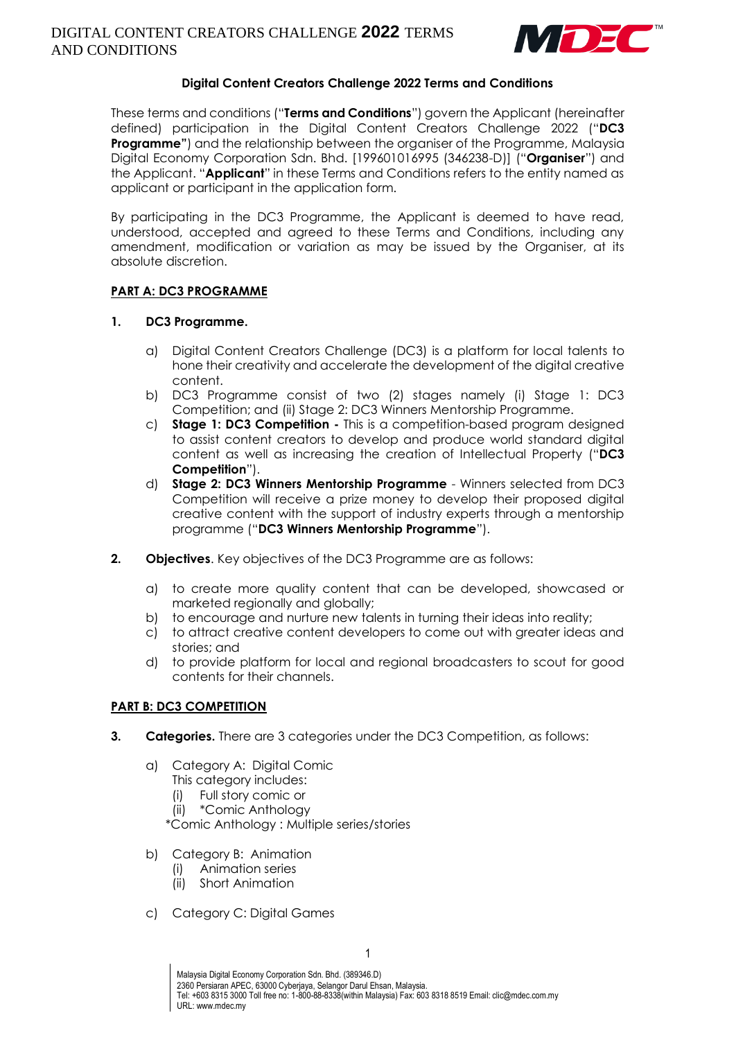

## **Digital Content Creators Challenge 2022 Terms and Conditions**

These terms and conditions ("**Terms and Conditions**") govern the Applicant (hereinafter defined) participation in the Digital Content Creators Challenge 2022 ("**DC3 Programme"**) and the relationship between the organiser of the Programme, Malaysia Digital Economy Corporation Sdn. Bhd. [199601016995 (346238-D)] ("**Organiser**") and the Applicant. "**Applicant**" in these Terms and Conditions refers to the entity named as applicant or participant in the application form.

By participating in the DC3 Programme, the Applicant is deemed to have read, understood, accepted and agreed to these Terms and Conditions, including any amendment, modification or variation as may be issued by the Organiser, at its absolute discretion.

## **PART A: DC3 PROGRAMME**

#### **1. DC3 Programme.**

- a) Digital Content Creators Challenge (DC3) is a platform for local talents to hone their creativity and accelerate the development of the digital creative content.
- b) DC3 Programme consist of two (2) stages namely (i) Stage 1: DC3 Competition; and (ii) Stage 2: DC3 Winners Mentorship Programme.
- c) **Stage 1: DC3 Competition -** This is a competition-based program designed to assist content creators to develop and produce world standard digital content as well as increasing the creation of Intellectual Property ("**DC3 Competition**").
- d) **Stage 2: DC3 Winners Mentorship Programme** Winners selected from DC3 Competition will receive a prize money to develop their proposed digital creative content with the support of industry experts through a mentorship programme ("**DC3 Winners Mentorship Programme**").
- **2. Objectives**. Key objectives of the DC3 Programme are as follows:
	- a) to create more quality content that can be developed, showcased or marketed regionally and globally;
	- b) to encourage and nurture new talents in turning their ideas into reality;
	- c) to attract creative content developers to come out with greater ideas and stories; and
	- d) to provide platform for local and regional broadcasters to scout for good contents for their channels.

#### **PART B: DC3 COMPETITION**

- **3. Categories.** There are 3 categories under the DC3 Competition, as follows:
	- a) Category A: Digital Comic
		- This category includes:
		- (i) Full story comic or
		- (ii) \*Comic Anthology

\*Comic Anthology : Multiple series/stories

- b) Category B: Animation
	- (i) Animation series
	- (ii) Short Animation
- c) Category C: Digital Games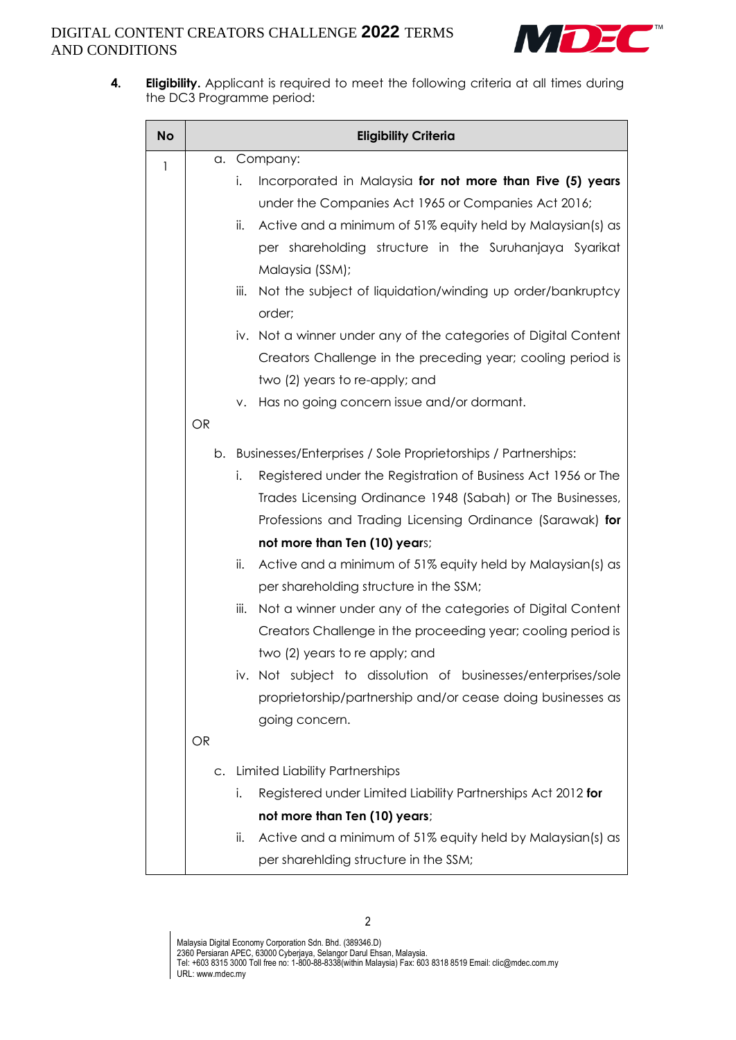

**4. Eligibility.** Applicant is required to meet the following criteria at all times during the DC3 Programme period:

| <b>No</b>    | <b>Eligibility Criteria</b> |                                                                                                                                                                       |  |  |
|--------------|-----------------------------|-----------------------------------------------------------------------------------------------------------------------------------------------------------------------|--|--|
| $\mathbf{1}$ | a.                          | Company:                                                                                                                                                              |  |  |
|              |                             | Incorporated in Malaysia for not more than Five (5) years<br>i.<br>under the Companies Act 1965 or Companies Act 2016;                                                |  |  |
|              |                             | Active and a minimum of 51% equity held by Malaysian(s) as<br>ii.<br>per shareholding structure in the Suruhanjaya Syarikat<br>Malaysia (SSM);                        |  |  |
|              |                             | Not the subject of liquidation/winding up order/bankruptcy<br>iii.<br>order;                                                                                          |  |  |
|              |                             | iv. Not a winner under any of the categories of Digital Content<br>Creators Challenge in the preceding year; cooling period is<br>two (2) years to re-apply; and      |  |  |
|              | OR                          | Has no going concern issue and/or dormant.<br>ν.                                                                                                                      |  |  |
|              |                             | b. Businesses/Enterprises / Sole Proprietorships / Partnerships:                                                                                                      |  |  |
|              |                             | Registered under the Registration of Business Act 1956 or The<br>i.                                                                                                   |  |  |
|              |                             | Trades Licensing Ordinance 1948 (Sabah) or The Businesses,                                                                                                            |  |  |
|              |                             | Professions and Trading Licensing Ordinance (Sarawak) for                                                                                                             |  |  |
|              |                             | not more than Ten (10) years;                                                                                                                                         |  |  |
|              |                             | ii.<br>Active and a minimum of 51% equity held by Malaysian(s) as<br>per shareholding structure in the SSM;                                                           |  |  |
|              |                             | Not a winner under any of the categories of Digital Content<br>iii.<br>Creators Challenge in the proceeding year; cooling period is<br>two (2) years to re apply; and |  |  |
|              |                             | iv. Not subject to dissolution of businesses/enterprises/sole<br>proprietorship/partnership and/or cease doing businesses as<br>going concern.                        |  |  |
|              | <b>OR</b>                   |                                                                                                                                                                       |  |  |
|              | C.                          | <b>Limited Liability Partnerships</b>                                                                                                                                 |  |  |
|              |                             | i.<br>Registered under Limited Liability Partnerships Act 2012 for                                                                                                    |  |  |
|              |                             | not more than Ten (10) years;                                                                                                                                         |  |  |
|              |                             | Active and a minimum of 51% equity held by Malaysian(s) as<br>ii.                                                                                                     |  |  |
|              |                             | per sharehiding structure in the SSM;                                                                                                                                 |  |  |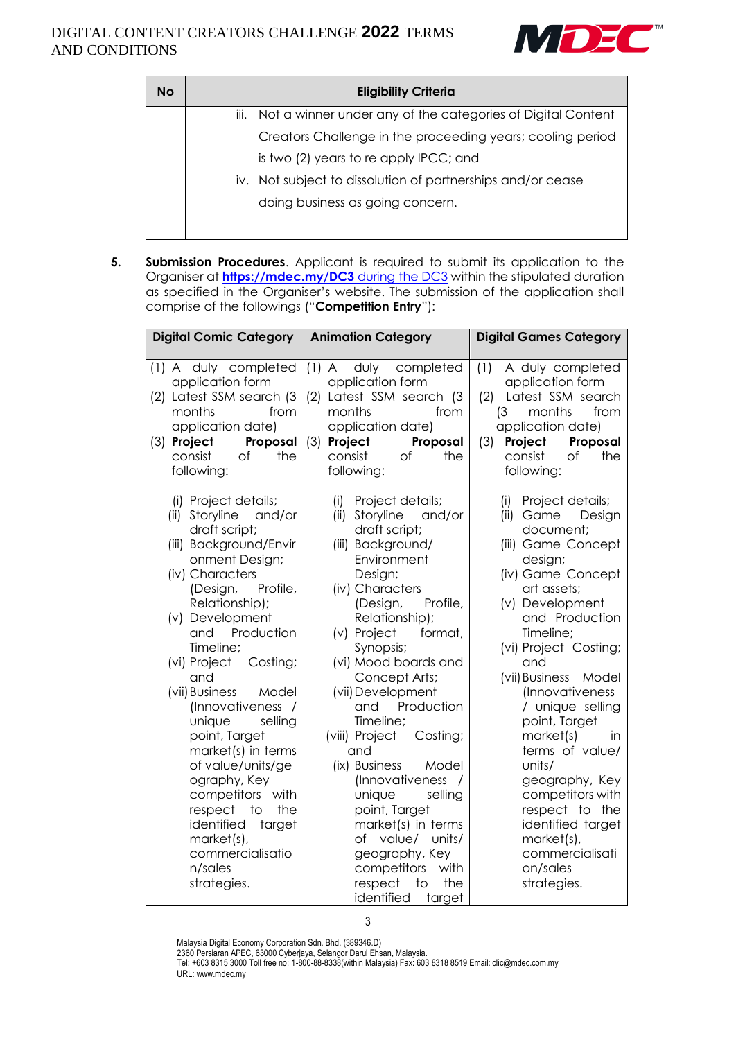

| <b>No</b> | <b>Eligibility Criteria</b>                                      |  |  |
|-----------|------------------------------------------------------------------|--|--|
|           | iii. Not a winner under any of the categories of Digital Content |  |  |
|           | Creators Challenge in the proceeding years; cooling period       |  |  |
|           | is two (2) years to re apply IPCC; and                           |  |  |
|           | iv. Not subject to dissolution of partnerships and/or cease      |  |  |
|           | doing business as going concern.                                 |  |  |
|           |                                                                  |  |  |

**5. Submission Procedures**. Applicant is required to submit its application to the Organiser at **[https://mdec.my/DC3](https://mdec.my/DC3%20during%20the%20DC3)** during the DC3 within the stipulated duration as specified in the Organiser's website. The submission of the application shall comprise of the followings ("**Competition Entry**"):

| <b>Digital Comic Category</b>                                                                                                                                                                                                                                                                                                                                                                                                                                                                                                                                         | <b>Animation Category</b>                                                                                                                                                                                                                                                                                                                                                                                                                                                                                                                                                                  | <b>Digital Games Category</b>                                                                                                                                                                                                                                                                                                                                                                                                                                                                         |
|-----------------------------------------------------------------------------------------------------------------------------------------------------------------------------------------------------------------------------------------------------------------------------------------------------------------------------------------------------------------------------------------------------------------------------------------------------------------------------------------------------------------------------------------------------------------------|--------------------------------------------------------------------------------------------------------------------------------------------------------------------------------------------------------------------------------------------------------------------------------------------------------------------------------------------------------------------------------------------------------------------------------------------------------------------------------------------------------------------------------------------------------------------------------------------|-------------------------------------------------------------------------------------------------------------------------------------------------------------------------------------------------------------------------------------------------------------------------------------------------------------------------------------------------------------------------------------------------------------------------------------------------------------------------------------------------------|
| A duly completed<br>(1)<br>application form<br>(2) Latest SSM search (3<br>months<br>from<br>application date)<br>(3) Project<br>Proposal<br>consist<br>the<br>Οf<br>following:                                                                                                                                                                                                                                                                                                                                                                                       | $(1)$ A<br>duly completed<br>application form<br>Latest SSM search (3<br>(2)<br>months<br>from<br>application date)<br>(3)<br>Project<br>Proposal<br>consist<br>of<br>the<br>following:                                                                                                                                                                                                                                                                                                                                                                                                    | (1)<br>A duly completed<br>application form<br>Latest SSM search<br>(2)<br>months<br>from<br>(3)<br>application date)<br>(3)<br>Project<br>Proposal<br>consist<br>Оf<br>the<br>following:                                                                                                                                                                                                                                                                                                             |
| (i) Project details;<br>Storyline<br>and/or<br>(ii)<br>draft script;<br>(iii) Background/Envir<br>onment Design;<br>(iv) Characters<br>(Design,<br>Profile,<br>Relationship);<br>(v) Development<br>and<br>Production<br>Timeline;<br>(vi) Project<br>Costing;<br>and<br>(vii) Business<br>Model<br>(Innovativeness /<br>unique<br>selling<br>point, Target<br>market(s) in terms<br>of value/units/ge<br>ography, Key<br>competitors<br>with<br>respect<br>$\overline{1}$<br>the<br>identified<br>target<br>market(s),<br>commercialisatio<br>n/sales<br>strategies. | (i)<br>Project details;<br>Storyline<br>and/or<br>(ii)<br>draft script;<br>(iii) Background/<br>Environment<br>Design;<br>(iv) Characters<br>(Design,<br>Profile,<br>Relationship);<br>(v) Project<br>format,<br>Synopsis;<br>(vi) Mood boards and<br>Concept Arts;<br>(vii) Development<br>and<br>Production<br>Timeline;<br>(viii) Project<br>Costing;<br>and<br>(ix) Business<br>Model<br>(Innovativeness /<br>selling<br>unique<br>point, Target<br>market(s) in terms<br>value/ units/<br>Оf<br>geography, Key<br>competitors<br>with<br>respect<br>to<br>the<br>identified<br>target | (i)<br>Project details;<br>(ii)<br>Game<br>Design<br>document;<br>(iii) Game Concept<br>design;<br>(iv) Game Concept<br>art assets;<br>(v) Development<br>and Production<br>Timeline;<br>(vi) Project Costing;<br>and<br>(vii) Business Model<br>(Innovativeness<br>/ unique selling<br>point, Target<br>market(s)<br><i>in</i><br>terms of value/<br>units/<br>geography, Key<br>competitors with<br>respect to the<br>identified target<br>market(s),<br>commercialisati<br>on/sales<br>strategies. |

3

Malaysia Digital Economy Corporation Sdn. Bhd. (389346.D)

2360 Persiaran APEC, 63000 Cyberjaya, Selangor Darul Ehsan, Malaysia.

Tel: +603 8315 3000 Toll free no: 1-800-88-8338(within Malaysia) Fax: 603 8318 8519 Email: clic@mdec.com.my URL: www.mdec.my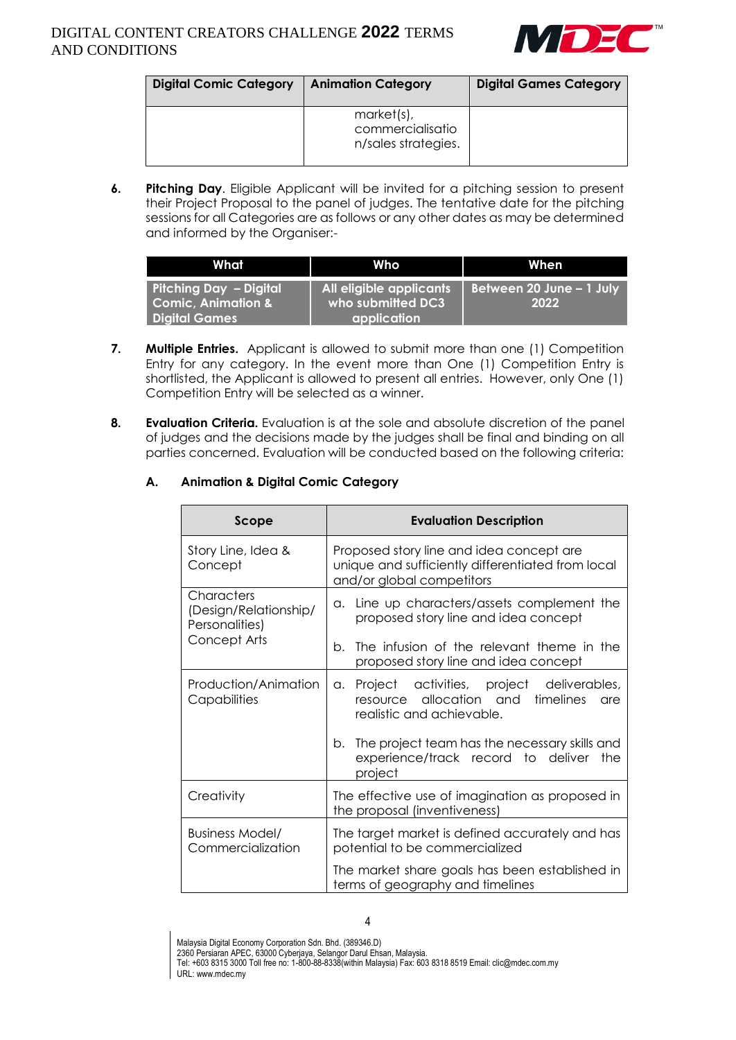

| <b>Digital Comic Category</b> | <b>Animation Category</b>                             | <b>Digital Games Category</b> |
|-------------------------------|-------------------------------------------------------|-------------------------------|
|                               | market(s),<br>commercialisatio<br>n/sales strategies. |                               |

**6. Pitching Day**. Eligible Applicant will be invited for a pitching session to present their Project Proposal to the panel of judges. The tentative date for the pitching sessions for all Categories are as follows or any other dates as may be determined and informed by the Organiser:-

| What                                                    | Who                                          | When                             |
|---------------------------------------------------------|----------------------------------------------|----------------------------------|
| Pitching Day - Digital<br><b>Comic, Animation &amp;</b> | All eligible applicants<br>who submitted DC3 | Between 20 June - 1 July<br>2022 |
| <b>Digital Games</b>                                    | <b>application</b>                           |                                  |

- **7. Multiple Entries.** Applicant is allowed to submit more than one (1) Competition Entry for any category. In the event more than One (1) Competition Entry is shortlisted, the Applicant is allowed to present all entries. However, only One (1) Competition Entry will be selected as a winner.
- **8. Evaluation Criteria.** Evaluation is at the sole and absolute discretion of the panel of judges and the decisions made by the judges shall be final and binding on all parties concerned. Evaluation will be conducted based on the following criteria:

## **A. Animation & Digital Comic Category**

| Scope                                                                 | <b>Evaluation Description</b>                                                                                              |  |
|-----------------------------------------------------------------------|----------------------------------------------------------------------------------------------------------------------------|--|
| Story Line, Idea &<br>Concept                                         | Proposed story line and idea concept are<br>unique and sufficiently differentiated from local<br>and/or global competitors |  |
| Characters<br>(Design/Relationship/<br>Personalities)<br>Concept Arts | Line up characters/assets complement the<br>a.<br>proposed story line and idea concept                                     |  |
|                                                                       | The infusion of the relevant theme in the<br>b.<br>proposed story line and idea concept                                    |  |
| Production/Animation<br>Capabilities                                  | a. Project activities, project deliverables,<br>resource allocation and timelines<br>are<br>realistic and achievable.      |  |
|                                                                       | b. The project team has the necessary skills and<br>experience/track record to deliver<br>the<br>project                   |  |
| Creativity                                                            | The effective use of imagination as proposed in<br>the proposal (inventiveness)                                            |  |
| Business Model/<br>Commercialization                                  | The target market is defined accurately and has<br>potential to be commercialized                                          |  |
|                                                                       | The market share goals has been established in<br>terms of geography and timelines                                         |  |

Malaysia Digital Economy Corporation Sdn. Bhd. (389346.D)

2360 Persiaran APEC, 63000 Cyberjaya, Selangor Darul Ehsan, Malaysia.

Tel: +603 8315 3000 Toll free no: 1-800-88-8338(within Malaysia) Fax: 603 8318 8519 Email: clic@mdec.com.my URL: www.mdec.my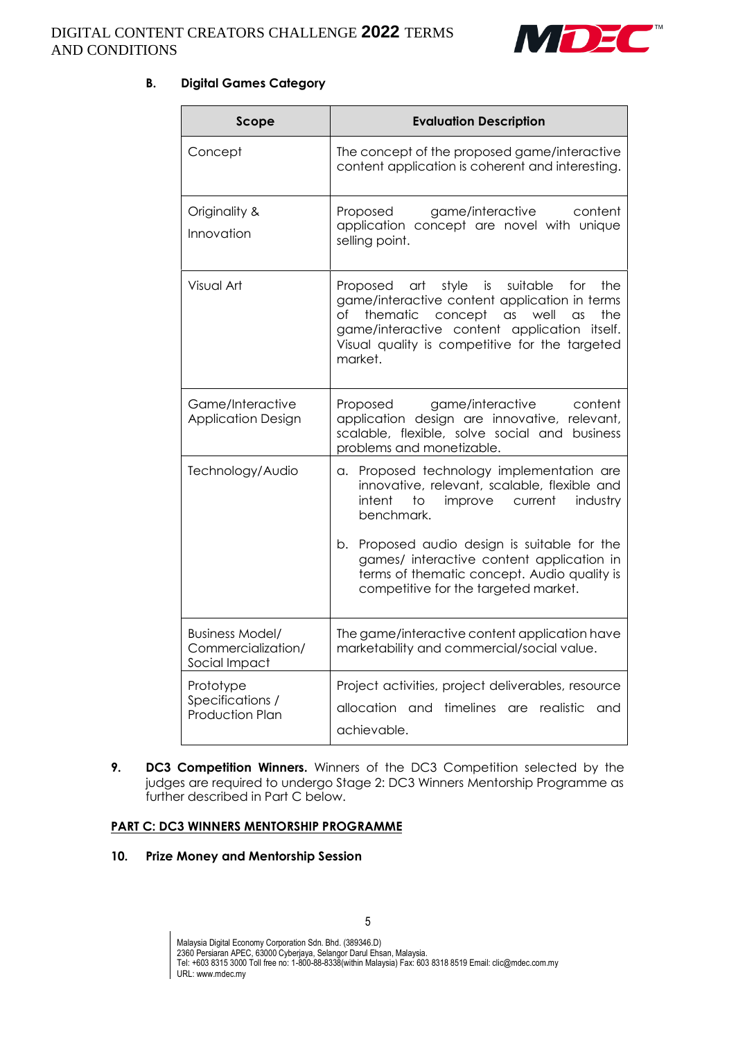

# **B. Digital Games Category**

| Scope                                                                                                                                                                                                       | <b>Evaluation Description</b>                                                                                                                                                                                                                                                   |
|-------------------------------------------------------------------------------------------------------------------------------------------------------------------------------------------------------------|---------------------------------------------------------------------------------------------------------------------------------------------------------------------------------------------------------------------------------------------------------------------------------|
| Concept                                                                                                                                                                                                     | The concept of the proposed game/interactive<br>content application is coherent and interesting.                                                                                                                                                                                |
| Originality &<br>Innovation                                                                                                                                                                                 | game/interactive<br>Proposed<br>content<br>application concept are novel with unique<br>selling point.                                                                                                                                                                          |
| Visual Art                                                                                                                                                                                                  | Proposed art style is suitable<br>for the<br>game/interactive content application in terms<br>thematic<br>оf<br>concept<br>$\alpha$ s<br>well<br>the<br>$\alpha$ s<br>game/interactive content application itself.<br>Visual quality is competitive for the targeted<br>market. |
| Game/Interactive<br>Proposed<br>game/interactive<br>application design are innovative, relevant,<br><b>Application Design</b><br>scalable, flexible, solve social and business<br>problems and monetizable. |                                                                                                                                                                                                                                                                                 |
| Technology/Audio                                                                                                                                                                                            | Proposed technology implementation are<br>а.<br>innovative, relevant, scalable, flexible and<br>current<br>intent<br>to<br>improve<br>industry<br>benchmark.                                                                                                                    |
|                                                                                                                                                                                                             | Proposed audio design is suitable for the<br>b.<br>games/ interactive content application in<br>terms of thematic concept. Audio quality is<br>competitive for the targeted market.                                                                                             |
| <b>Business Model/</b><br>Commercialization/<br>Social Impact                                                                                                                                               | The game/interactive content application have<br>marketability and commercial/social value.                                                                                                                                                                                     |
| Prototype<br>Specifications /<br><b>Production Plan</b>                                                                                                                                                     | Project activities, project deliverables, resource<br>allocation and timelines are realistic<br>and<br>achievable.                                                                                                                                                              |

**9. DC3 Competition Winners.** Winners of the DC3 Competition selected by the judges are required to undergo Stage 2: DC3 Winners Mentorship Programme as further described in Part C below.

## **PART C: DC3 WINNERS MENTORSHIP PROGRAMME**

#### **10. Prize Money and Mentorship Session**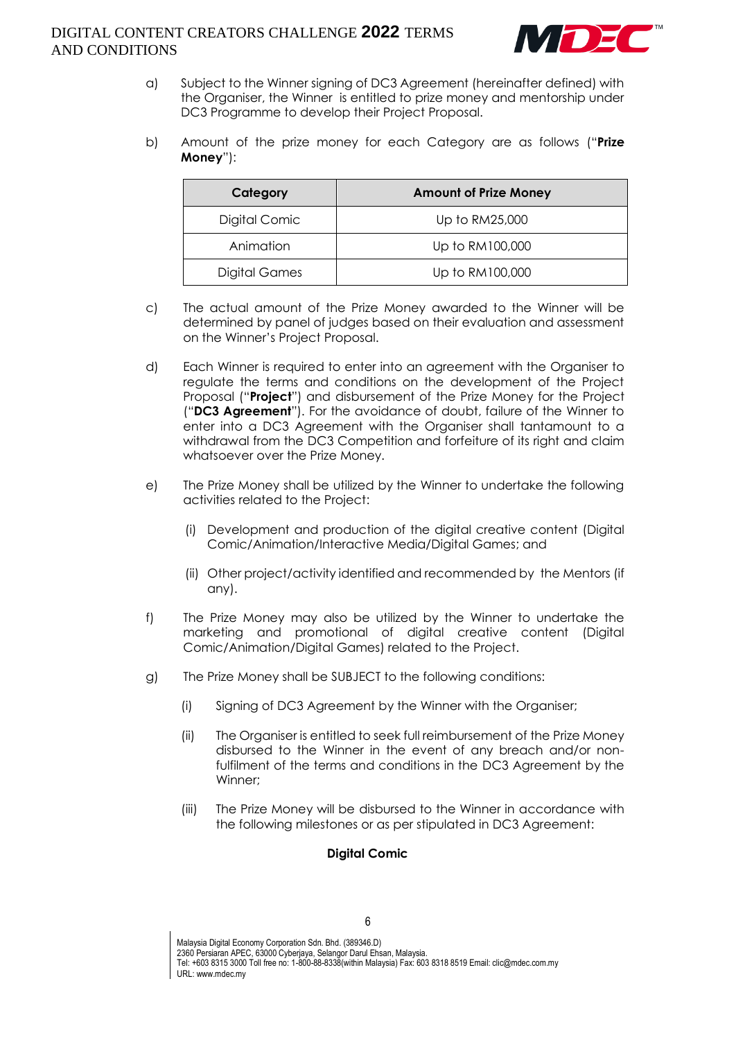

- a) Subject to the Winner signing of DC3 Agreement (hereinafter defined) with the Organiser, the Winner is entitled to prize money and mentorship under DC3 Programme to develop their Project Proposal.
- b) Amount of the prize money for each Category are as follows ("**Prize Money**"):

| Category      | <b>Amount of Prize Money</b> |
|---------------|------------------------------|
| Digital Comic | Up to RM25,000               |
| Animation     | Up to RM100,000              |
| Digital Games | Up to RM100,000              |

- c) The actual amount of the Prize Money awarded to the Winner will be determined by panel of judges based on their evaluation and assessment on the Winner's Project Proposal.
- d) Each Winner is required to enter into an agreement with the Organiser to regulate the terms and conditions on the development of the Project Proposal ("**Project**") and disbursement of the Prize Money for the Project ("**DC3 Agreement**"). For the avoidance of doubt, failure of the Winner to enter into a DC3 Agreement with the Organiser shall tantamount to a withdrawal from the DC3 Competition and forfeiture of its right and claim whatsoever over the Prize Money.
- e) The Prize Money shall be utilized by the Winner to undertake the following activities related to the Project:
	- (i) Development and production of the digital creative content (Digital Comic/Animation/Interactive Media/Digital Games; and
	- (ii) Other project/activity identified and recommended by the Mentors (if any).
- f) The Prize Money may also be utilized by the Winner to undertake the marketing and promotional of digital creative content (Digital Comic/Animation/Digital Games) related to the Project.
- g) The Prize Money shall be SUBJECT to the following conditions:
	- (i) Signing of DC3 Agreement by the Winner with the Organiser;
	- (ii) The Organiser is entitled to seek full reimbursement of the Prize Money disbursed to the Winner in the event of any breach and/or nonfulfilment of the terms and conditions in the DC3 Agreement by the Winner;
	- (iii) The Prize Money will be disbursed to the Winner in accordance with the following milestones or as per stipulated in DC3 Agreement:

## **Digital Comic**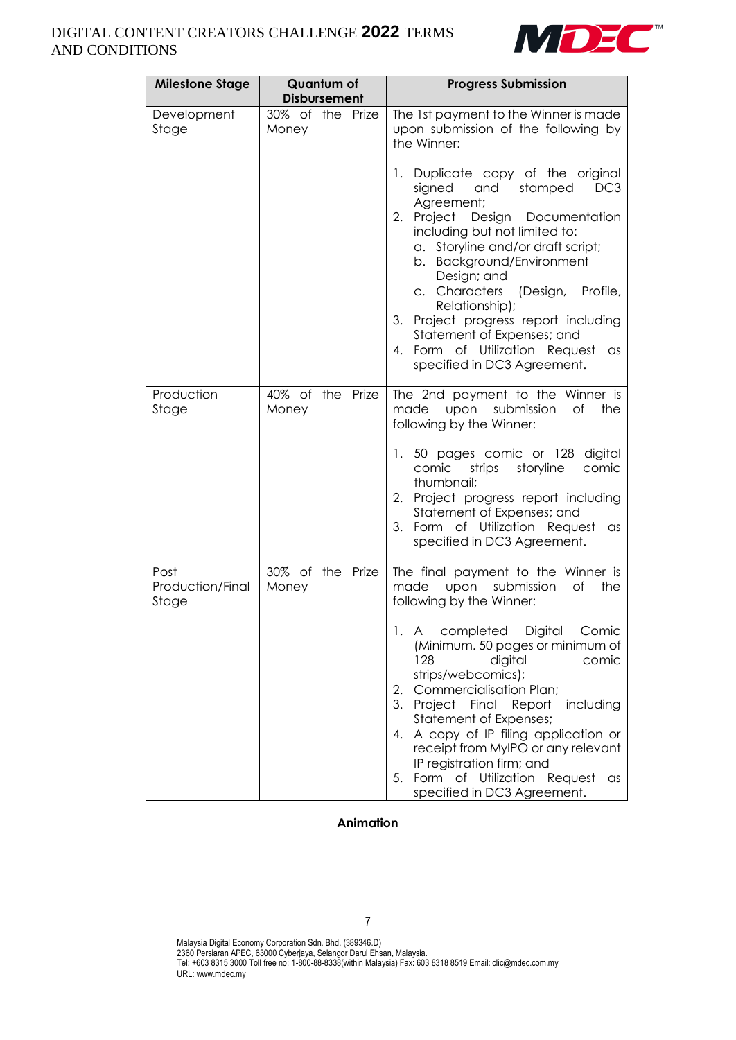

| <b>Milestone Stage</b>            | Quantum of                                       | <b>Progress Submission</b>                                                                                                                                                                                                                                                                                                                                                                                                                                                                                                              |
|-----------------------------------|--------------------------------------------------|-----------------------------------------------------------------------------------------------------------------------------------------------------------------------------------------------------------------------------------------------------------------------------------------------------------------------------------------------------------------------------------------------------------------------------------------------------------------------------------------------------------------------------------------|
| Development<br>Stage              | <b>Disbursement</b><br>30% of the Prize<br>Money | The 1st payment to the Winner is made<br>upon submission of the following by<br>the Winner:<br>1. Duplicate copy of the original<br>signed<br>and<br>stamped<br>DC <sub>3</sub><br>Agreement;<br>2. Project Design Documentation<br>including but not limited to:<br>a. Storyline and/or draft script;<br>b. Background/Environment<br>Design; and<br>c. Characters<br>(Design, Profile,<br>Relationship);<br>3. Project progress report including<br>Statement of Expenses; and<br>4. Form of Utilization Request<br>as                |
| Production<br>Stage               | 40% of the Prize<br>Money                        | specified in DC3 Agreement.<br>The 2nd payment to the Winner is<br>made<br>upon<br>submission<br>of<br>the<br>following by the Winner:<br>1. 50 pages comic or 128 digital<br>storyline<br>comic<br>strips<br>comic<br>thumbnail;<br>2. Project progress report including<br>Statement of Expenses; and<br>3. Form of Utilization Request<br>as<br>specified in DC3 Agreement.                                                                                                                                                          |
| Post<br>Production/Final<br>Stage | 30% of the Prize<br>Money                        | The final payment to the Winner is<br>made<br>submission<br>Оf<br>the<br>upon<br>following by the Winner:<br>completed<br>Digital<br>1. A<br>Comic<br>(Minimum. 50 pages or minimum of<br>128<br>digital<br>comic<br>strips/webcomics);<br><b>Commercialisation Plan;</b><br>2.<br>3. Project Final Report<br>including<br>Statement of Expenses;<br>A copy of IP filing application or<br>4.<br>receipt from MyIPO or any relevant<br>IP registration firm; and<br>5. Form of Utilization Request<br>as<br>specified in DC3 Agreement. |

## **Animation**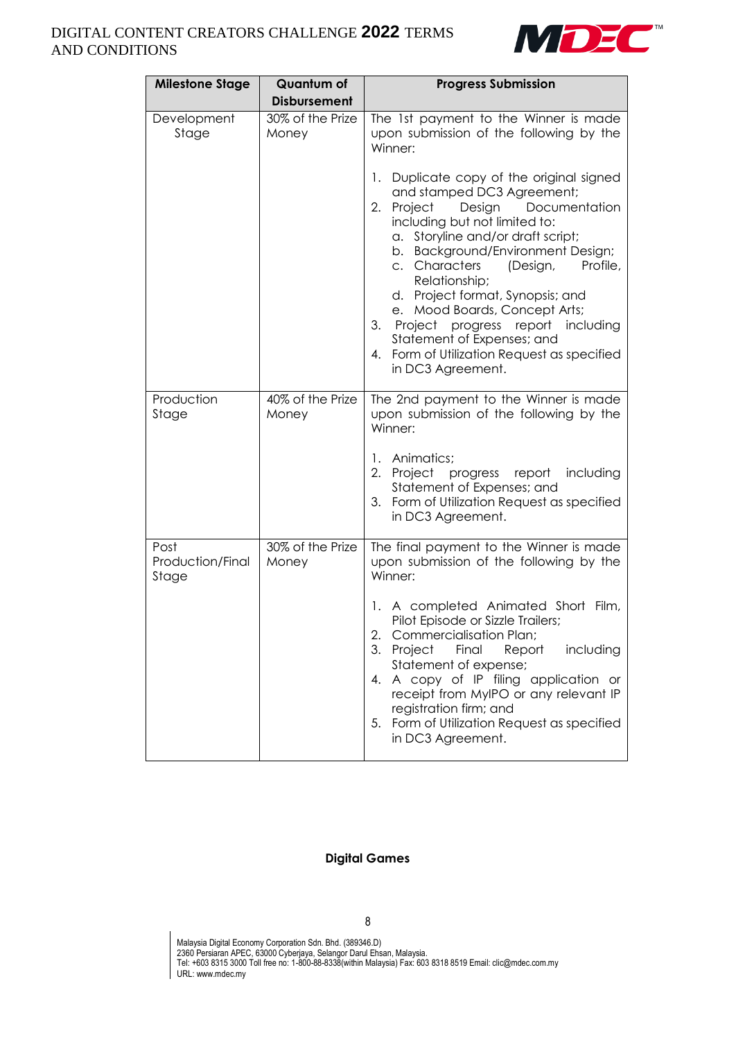

| <b>Milestone Stage</b>            | <b>Quantum of</b>         | <b>Progress Submission</b>                                                                                                                                                                                                                                                                                                                                                                                                                                                                                            |  |
|-----------------------------------|---------------------------|-----------------------------------------------------------------------------------------------------------------------------------------------------------------------------------------------------------------------------------------------------------------------------------------------------------------------------------------------------------------------------------------------------------------------------------------------------------------------------------------------------------------------|--|
|                                   | <b>Disbursement</b>       |                                                                                                                                                                                                                                                                                                                                                                                                                                                                                                                       |  |
| Development<br>Stage              | 30% of the Prize<br>Money | The 1st payment to the Winner is made<br>upon submission of the following by the<br>Winner:                                                                                                                                                                                                                                                                                                                                                                                                                           |  |
|                                   |                           | Duplicate copy of the original signed<br>1.<br>and stamped DC3 Agreement;<br>2.<br>Documentation<br>Project<br>Design<br>including but not limited to:<br>a. Storyline and/or draft script;<br>b. Background/Environment Design;<br>Characters<br>(Design,<br>Profile,<br>C.<br>Relationship;<br>d. Project format, Synopsis; and<br>Mood Boards, Concept Arts;<br>е.<br>3.<br>Project progress report including<br>Statement of Expenses; and<br>Form of Utilization Request as specified<br>4.<br>in DC3 Agreement. |  |
| Production<br>Stage               | 40% of the Prize<br>Money | The 2nd payment to the Winner is made<br>upon submission of the following by the<br>Winner:                                                                                                                                                                                                                                                                                                                                                                                                                           |  |
|                                   |                           | Animatics;<br>1.<br>2.<br>Project<br>progress report including<br>Statement of Expenses; and<br>3. Form of Utilization Request as specified<br>in DC3 Agreement.                                                                                                                                                                                                                                                                                                                                                      |  |
| Post<br>Production/Final<br>Stage | 30% of the Prize<br>Money | The final payment to the Winner is made<br>upon submission of the following by the<br>Winner:                                                                                                                                                                                                                                                                                                                                                                                                                         |  |
|                                   |                           | A completed Animated Short Film,<br>1.<br>Pilot Episode or Sizzle Trailers;<br>2.<br><b>Commercialisation Plan;</b><br>3.<br>Project<br>Final<br>Report<br>including<br>Statement of expense;<br>A copy of IP filing application or<br>4.<br>receipt from MyIPO or any relevant IP<br>registration firm; and<br>Form of Utilization Request as specified<br>5.<br>in DC3 Agreement.                                                                                                                                   |  |

#### **Digital Games**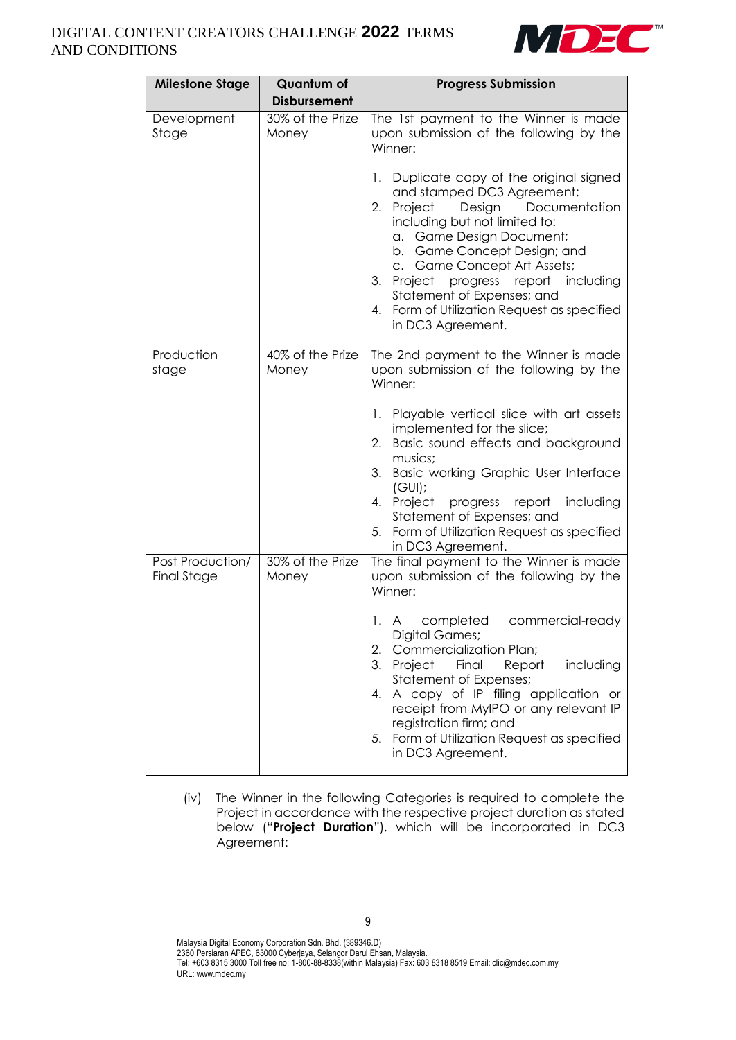

| Quantum of<br><b>Milestone Stage</b><br><b>Disbursement</b> |                           | <b>Progress Submission</b>                                                                                                                                                                                                                                                                                                                                                                       |
|-------------------------------------------------------------|---------------------------|--------------------------------------------------------------------------------------------------------------------------------------------------------------------------------------------------------------------------------------------------------------------------------------------------------------------------------------------------------------------------------------------------|
| Development<br>Stage                                        | 30% of the Prize<br>Money | The 1st payment to the Winner is made<br>upon submission of the following by the<br>Winner:                                                                                                                                                                                                                                                                                                      |
|                                                             |                           | Duplicate copy of the original signed<br>1.<br>and stamped DC3 Agreement;<br>Documentation<br>2.<br>Project<br>Design<br>including but not limited to:<br>a. Game Design Document;<br>b. Game Concept Design; and<br>c. Game Concept Art Assets;<br>3. Project<br>progress<br>report including<br>Statement of Expenses; and<br>4. Form of Utilization Request as specified<br>in DC3 Agreement. |
| Production<br>stage                                         | 40% of the Prize<br>Money | The 2nd payment to the Winner is made<br>upon submission of the following by the<br>Winner:                                                                                                                                                                                                                                                                                                      |
|                                                             |                           | 1. Playable vertical slice with art assets<br>implemented for the slice;<br>Basic sound effects and background<br>2.<br>musics;<br>3. Basic working Graphic User Interface<br>(GUI):<br>Project progress report<br>including<br>4.<br>Statement of Expenses; and<br>5. Form of Utilization Request as specified<br>in DC3 Agreement.                                                             |
| Post Production/<br><b>Final Stage</b>                      | 30% of the Prize<br>Money | The final payment to the Winner is made<br>upon submission of the following by the<br>Winner:                                                                                                                                                                                                                                                                                                    |
|                                                             |                           | completed<br>commercial-ready<br>1. A<br>Digital Games;<br>Commercialization Plan;<br>2.<br>3.<br>Project<br>Final<br>Report<br>including<br><b>Statement of Expenses;</b><br>A copy of IP filing application or<br>4.<br>receipt from MyIPO or any relevant IP<br>registration firm; and<br>Form of Utilization Request as specified<br>5.<br>in DC3 Agreement.                                 |

(iv) The Winner in the following Categories is required to complete the Project in accordance with the respective project duration as stated below ("**Project Duration**"), which will be incorporated in DC3 Agreement: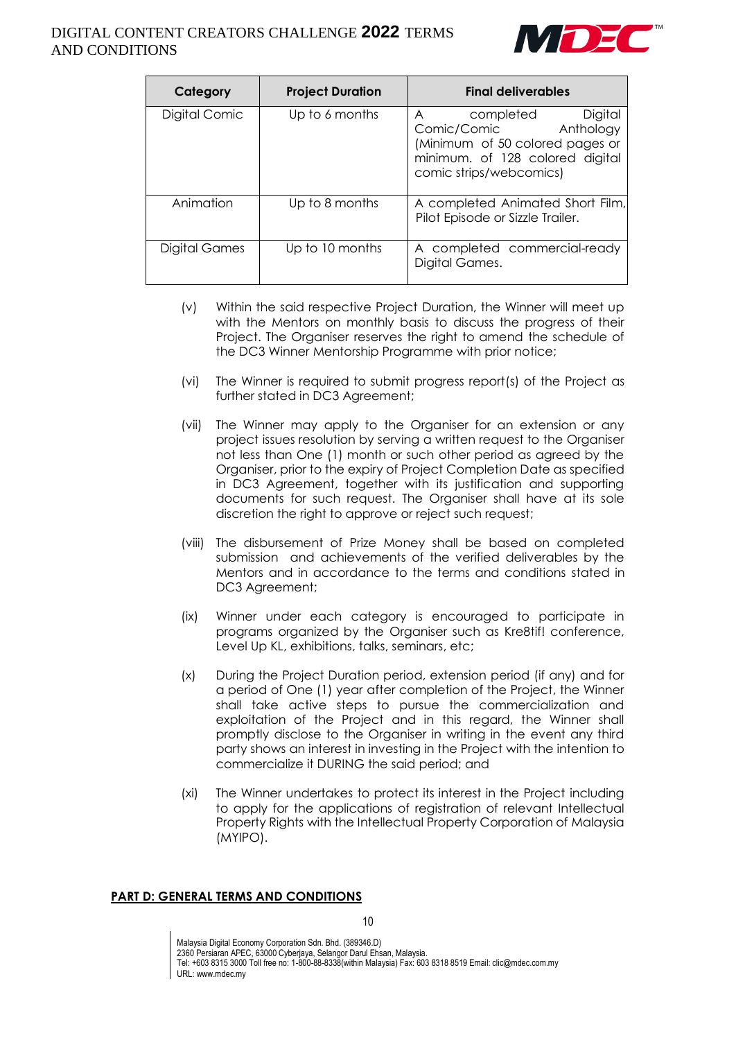

| Category      | <b>Project Duration</b> | <b>Final deliverables</b>                                                                                                                                           |
|---------------|-------------------------|---------------------------------------------------------------------------------------------------------------------------------------------------------------------|
| Digital Comic | Up to 6 months          | Digital<br>completed<br>$\overline{A}$<br>Anthology<br>Comic/Comic<br>(Minimum of 50 colored pages or<br>minimum. of 128 colored digital<br>comic strips/webcomics) |
| Animation     | Up to 8 months          | A completed Animated Short Film,<br>Pilot Episode or Sizzle Trailer.                                                                                                |
| Digital Games | Up to 10 months         | A completed commercial-ready<br>Digital Games.                                                                                                                      |

- (v) Within the said respective Project Duration, the Winner will meet up with the Mentors on monthly basis to discuss the progress of their Project. The Organiser reserves the right to amend the schedule of the DC3 Winner Mentorship Programme with prior notice;
- (vi) The Winner is required to submit progress report(s) of the Project as further stated in DC3 Agreement;
- (vii) The Winner may apply to the Organiser for an extension or any project issues resolution by serving a written request to the Organiser not less than One (1) month or such other period as agreed by the Organiser, prior to the expiry of Project Completion Date as specified in DC3 Agreement, together with its justification and supporting documents for such request. The Organiser shall have at its sole discretion the right to approve or reject such request;
- (viii) The disbursement of Prize Money shall be based on completed submission and achievements of the verified deliverables by the Mentors and in accordance to the terms and conditions stated in DC3 Agreement;
- (ix) Winner under each category is encouraged to participate in programs organized by the Organiser such as Kre8tif! conference, Level Up KL, exhibitions, talks, seminars, etc;
- (x) During the Project Duration period, extension period (if any) and for a period of One (1) year after completion of the Project, the Winner shall take active steps to pursue the commercialization and exploitation of the Project and in this regard, the Winner shall promptly disclose to the Organiser in writing in the event any third party shows an interest in investing in the Project with the intention to commercialize it DURING the said period; and
- (xi) The Winner undertakes to protect its interest in the Project including to apply for the applications of registration of relevant Intellectual Property Rights with the Intellectual Property Corporation of Malaysia (MYIPO).

## **PART D: GENERAL TERMS AND CONDITIONS**

Malaysia Digital Economy Corporation Sdn. Bhd. (389346.D) 2360 Persiaran APEC, 63000 Cyberjaya, Selangor Darul Ehsan, Malaysia. Tel: +603 8315 3000 Toll free no: 1-800-88-8338(within Malaysia) Fax: 603 8318 8519 Email: clic@mdec.com.my URL: www.mdec.my

10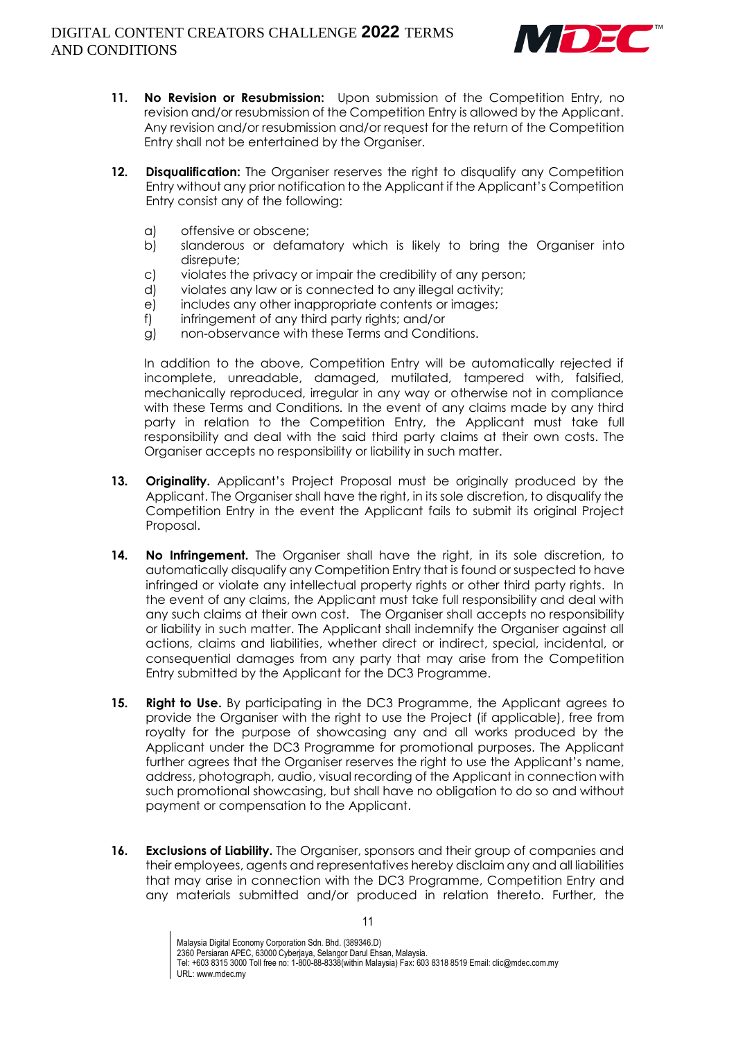

- **11. No Revision or Resubmission:** Upon submission of the Competition Entry, no revision and/or resubmission of the Competition Entry is allowed by the Applicant. Any revision and/or resubmission and/or request for the return of the Competition Entry shall not be entertained by the Organiser.
- **12. Disqualification:** The Organiser reserves the right to disqualify any Competition Entry without any prior notification to the Applicant if the Applicant's Competition Entry consist any of the following:
	- a) offensive or obscene;
	- b) slanderous or defamatory which is likely to bring the Organiser into disrepute;
	- c) violates the privacy or impair the credibility of any person;
	- d) violates any law or is connected to any illegal activity;
	- e) includes any other inappropriate contents or images;
	- f) infringement of any third party rights; and/or
	- g) non-observance with these Terms and Conditions.

In addition to the above, Competition Entry will be automatically rejected if incomplete, unreadable, damaged, mutilated, tampered with, falsified, mechanically reproduced, irregular in any way or otherwise not in compliance with these Terms and Conditions*.* In the event of any claims made by any third party in relation to the Competition Entry, the Applicant must take full responsibility and deal with the said third party claims at their own costs. The Organiser accepts no responsibility or liability in such matter.

- **13. Originality.** Applicant's Project Proposal must be originally produced by the Applicant. The Organiser shall have the right, in its sole discretion, to disqualify the Competition Entry in the event the Applicant fails to submit its original Project Proposal.
- **14. No Infringement.** The Organiser shall have the right, in its sole discretion, to automatically disqualify any Competition Entry that is found or suspected to have infringed or violate any intellectual property rights or other third party rights. In the event of any claims, the Applicant must take full responsibility and deal with any such claims at their own cost. The Organiser shall accepts no responsibility or liability in such matter. The Applicant shall indemnify the Organiser against all actions, claims and liabilities, whether direct or indirect, special, incidental, or consequential damages from any party that may arise from the Competition Entry submitted by the Applicant for the DC3 Programme.
- **15. Right to Use.** By participating in the DC3 Programme, the Applicant agrees to provide the Organiser with the right to use the Project (if applicable), free from royalty for the purpose of showcasing any and all works produced by the Applicant under the DC3 Programme for promotional purposes. The Applicant further agrees that the Organiser reserves the right to use the Applicant's name, address, photograph, audio, visual recording of the Applicant in connection with such promotional showcasing, but shall have no obligation to do so and without payment or compensation to the Applicant.
- **16. Exclusions of Liability.** The Organiser, sponsors and their group of companies and their employees, agents and representatives hereby disclaim any and all liabilities that may arise in connection with the DC3 Programme, Competition Entry and any materials submitted and/or produced in relation thereto. Further, the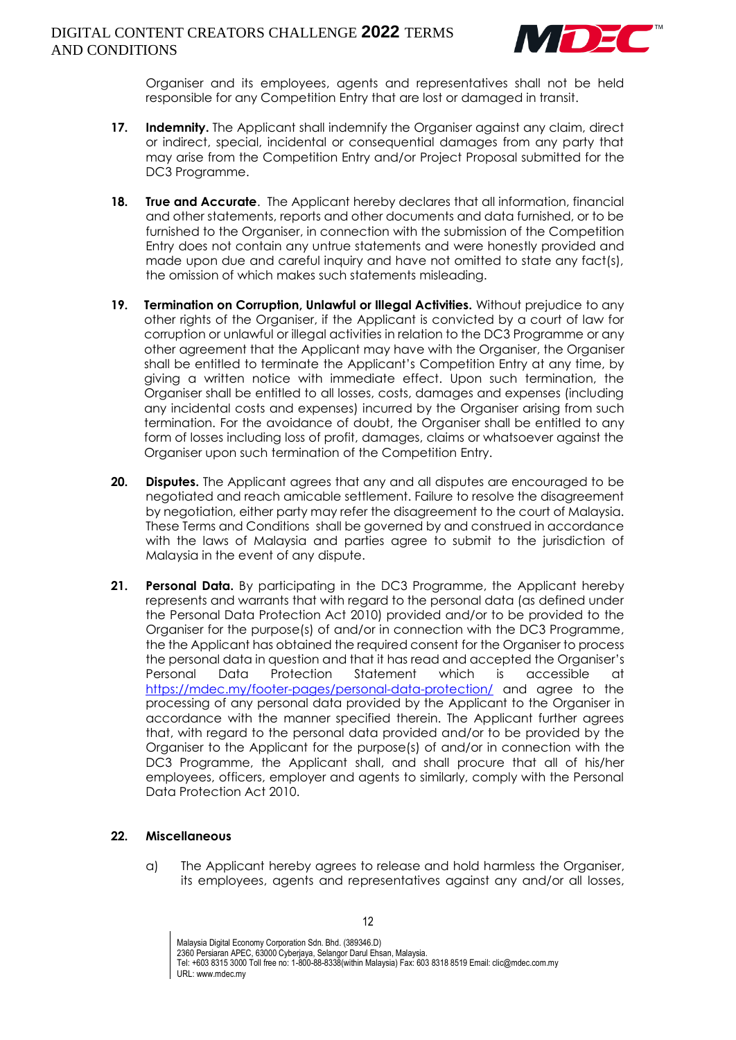

Organiser and its employees, agents and representatives shall not be held responsible for any Competition Entry that are lost or damaged in transit.

- **17. Indemnity.** The Applicant shall indemnify the Organiser against any claim, direct or indirect, special, incidental or consequential damages from any party that may arise from the Competition Entry and/or Project Proposal submitted for the DC3 Programme.
- **18. True and Accurate**. The Applicant hereby declares that all information, financial and other statements, reports and other documents and data furnished, or to be furnished to the Organiser, in connection with the submission of the Competition Entry does not contain any untrue statements and were honestly provided and made upon due and careful inquiry and have not omitted to state any fact(s), the omission of which makes such statements misleading.
- **19. Termination on Corruption, Unlawful or Illegal Activities.** Without prejudice to any other rights of the Organiser, if the Applicant is convicted by a court of law for corruption or unlawful or illegal activities in relation to the DC3 Programme or any other agreement that the Applicant may have with the Organiser, the Organiser shall be entitled to terminate the Applicant's Competition Entry at any time, by giving a written notice with immediate effect. Upon such termination, the Organiser shall be entitled to all losses, costs, damages and expenses (including any incidental costs and expenses) incurred by the Organiser arising from such termination. For the avoidance of doubt, the Organiser shall be entitled to any form of losses including loss of profit, damages, claims or whatsoever against the Organiser upon such termination of the Competition Entry.
- **20. Disputes.** The Applicant agrees that any and all disputes are encouraged to be negotiated and reach amicable settlement. Failure to resolve the disagreement by negotiation, either party may refer the disagreement to the court of Malaysia. These Terms and Conditions shall be governed by and construed in accordance with the laws of Malaysia and parties agree to submit to the jurisdiction of Malaysia in the event of any dispute.
- **21. Personal Data.** By participating in the DC3 Programme, the Applicant hereby represents and warrants that with regard to the personal data (as defined under the Personal Data Protection Act 2010) provided and/or to be provided to the Organiser for the purpose(s) of and/or in connection with the DC3 Programme, the the Applicant has obtained the required consent for the Organiser to process the personal data in question and that it has read and accepted the Organiser's Personal Data Protection Statement which is accessible at <https://mdec.my/footer-pages/personal-data-protection/> and agree to the processing of any personal data provided by the Applicant to the Organiser in accordance with the manner specified therein. The Applicant further agrees that, with regard to the personal data provided and/or to be provided by the Organiser to the Applicant for the purpose(s) of and/or in connection with the DC3 Programme, the Applicant shall, and shall procure that all of his/her employees, officers, employer and agents to similarly, comply with the Personal Data Protection Act 2010.

## **22. Miscellaneous**

a) The Applicant hereby agrees to release and hold harmless the Organiser, its employees, agents and representatives against any and/or all losses,